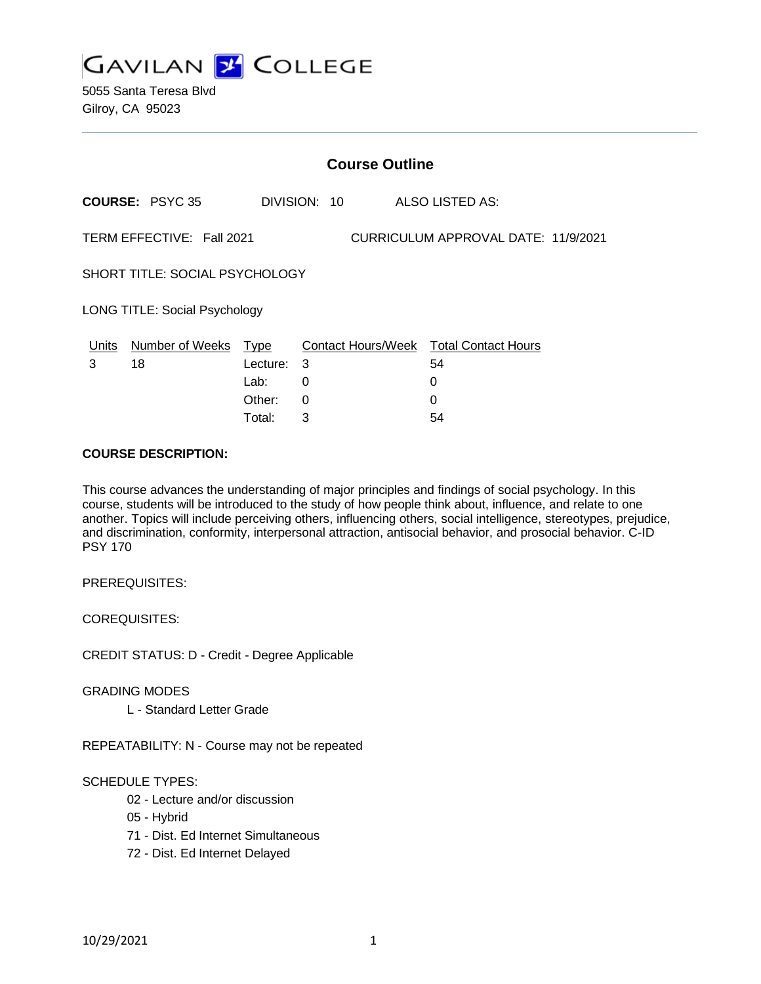

5055 Santa Teresa Blvd Gilroy, CA 95023

|                                                                  | <b>Course Outline</b>      |          |              |  |                                        |  |
|------------------------------------------------------------------|----------------------------|----------|--------------|--|----------------------------------------|--|
|                                                                  | <b>COURSE: PSYC 35</b>     |          | DIVISION: 10 |  | <b>ALSO LISTED AS:</b>                 |  |
| TERM EFFECTIVE: Fall 2021<br>CURRICULUM APPROVAL DATE: 11/9/2021 |                            |          |              |  |                                        |  |
| SHORT TITLE: SOCIAL PSYCHOLOGY                                   |                            |          |              |  |                                        |  |
| LONG TITLE: Social Psychology                                    |                            |          |              |  |                                        |  |
|                                                                  | Units Number of Weeks Type |          |              |  | Contact Hours/Week Total Contact Hours |  |
| 3                                                                | 18                         | Lecture: | 3            |  | 54                                     |  |
|                                                                  |                            | Lab:     | 0            |  | 0                                      |  |
|                                                                  |                            | Other:   | 0            |  | 0                                      |  |
|                                                                  |                            | Total:   | 3            |  | 54                                     |  |

#### **COURSE DESCRIPTION:**

This course advances the understanding of major principles and findings of social psychology. In this course, students will be introduced to the study of how people think about, influence, and relate to one another. Topics will include perceiving others, influencing others, social intelligence, stereotypes, prejudice, and discrimination, conformity, interpersonal attraction, antisocial behavior, and prosocial behavior. C-ID PSY 170

PREREQUISITES:

COREQUISITES:

CREDIT STATUS: D - Credit - Degree Applicable

GRADING MODES

L - Standard Letter Grade

REPEATABILITY: N - Course may not be repeated

### SCHEDULE TYPES:

- 02 Lecture and/or discussion
- 05 Hybrid
- 71 Dist. Ed Internet Simultaneous
- 72 Dist. Ed Internet Delayed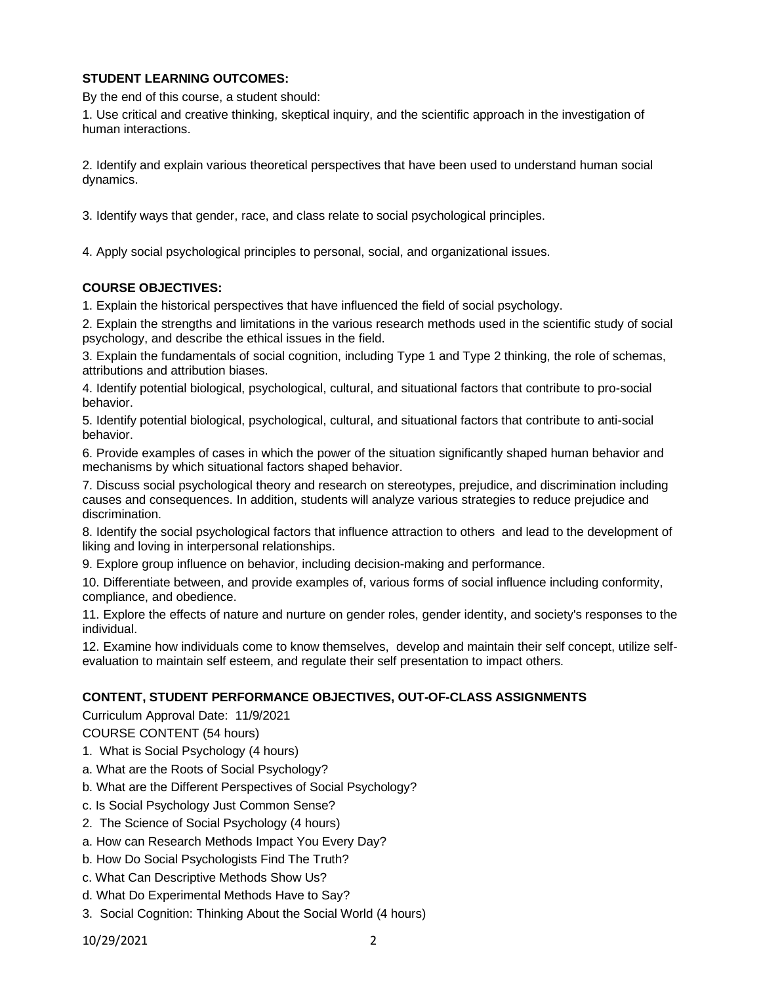## **STUDENT LEARNING OUTCOMES:**

By the end of this course, a student should:

1. Use critical and creative thinking, skeptical inquiry, and the scientific approach in the investigation of human interactions.

2. Identify and explain various theoretical perspectives that have been used to understand human social dynamics.

3. Identify ways that gender, race, and class relate to social psychological principles.

4. Apply social psychological principles to personal, social, and organizational issues.

### **COURSE OBJECTIVES:**

1. Explain the historical perspectives that have influenced the field of social psychology.

2. Explain the strengths and limitations in the various research methods used in the scientific study of social psychology, and describe the ethical issues in the field.

3. Explain the fundamentals of social cognition, including Type 1 and Type 2 thinking, the role of schemas, attributions and attribution biases.

4. Identify potential biological, psychological, cultural, and situational factors that contribute to pro-social behavior.

5. Identify potential biological, psychological, cultural, and situational factors that contribute to anti-social behavior.

6. Provide examples of cases in which the power of the situation significantly shaped human behavior and mechanisms by which situational factors shaped behavior.

7. Discuss social psychological theory and research on stereotypes, prejudice, and discrimination including causes and consequences. In addition, students will analyze various strategies to reduce prejudice and discrimination.

8. Identify the social psychological factors that influence attraction to others and lead to the development of liking and loving in interpersonal relationships.

9. Explore group influence on behavior, including decision-making and performance.

10. Differentiate between, and provide examples of, various forms of social influence including conformity, compliance, and obedience.

11. Explore the effects of nature and nurture on gender roles, gender identity, and society's responses to the individual.

12. Examine how individuals come to know themselves, develop and maintain their self concept, utilize selfevaluation to maintain self esteem, and regulate their self presentation to impact others.

### **CONTENT, STUDENT PERFORMANCE OBJECTIVES, OUT-OF-CLASS ASSIGNMENTS**

Curriculum Approval Date: 11/9/2021

COURSE CONTENT (54 hours)

- 1. What is Social Psychology (4 hours)
- a. What are the Roots of Social Psychology?
- b. What are the Different Perspectives of Social Psychology?
- c. Is Social Psychology Just Common Sense?
- 2. The Science of Social Psychology (4 hours)
- a. How can Research Methods Impact You Every Day?
- b. How Do Social Psychologists Find The Truth?
- c. What Can Descriptive Methods Show Us?
- d. What Do Experimental Methods Have to Say?
- 3. Social Cognition: Thinking About the Social World (4 hours)

10/29/2021 2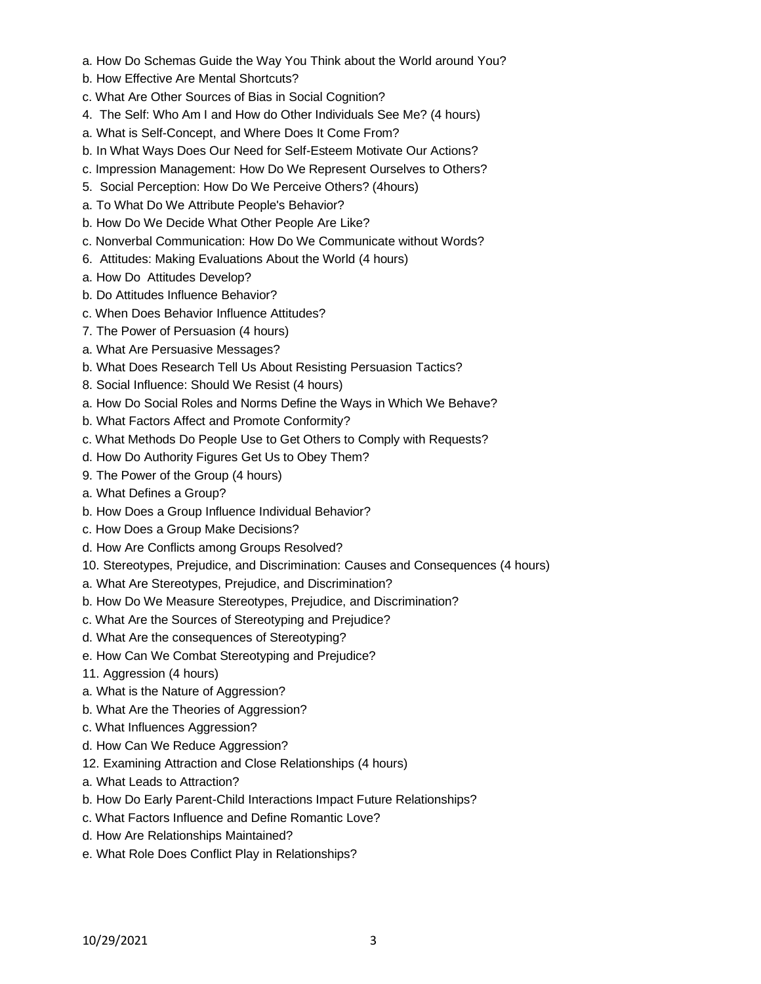- a. How Do Schemas Guide the Way You Think about the World around You?
- b. How Effective Are Mental Shortcuts?
- c. What Are Other Sources of Bias in Social Cognition?
- 4. The Self: Who Am I and How do Other Individuals See Me? (4 hours)
- a. What is Self-Concept, and Where Does It Come From?
- b. In What Ways Does Our Need for Self-Esteem Motivate Our Actions?
- c. Impression Management: How Do We Represent Ourselves to Others?
- 5. Social Perception: How Do We Perceive Others? (4hours)
- a. To What Do We Attribute People's Behavior?
- b. How Do We Decide What Other People Are Like?
- c. Nonverbal Communication: How Do We Communicate without Words?
- 6. Attitudes: Making Evaluations About the World (4 hours)
- a. How Do Attitudes Develop?
- b. Do Attitudes Influence Behavior?
- c. When Does Behavior Influence Attitudes?
- 7. The Power of Persuasion (4 hours)
- a. What Are Persuasive Messages?
- b. What Does Research Tell Us About Resisting Persuasion Tactics?
- 8. Social Influence: Should We Resist (4 hours)
- a. How Do Social Roles and Norms Define the Ways in Which We Behave?
- b. What Factors Affect and Promote Conformity?
- c. What Methods Do People Use to Get Others to Comply with Requests?
- d. How Do Authority Figures Get Us to Obey Them?
- 9. The Power of the Group (4 hours)
- a. What Defines a Group?
- b. How Does a Group Influence Individual Behavior?
- c. How Does a Group Make Decisions?
- d. How Are Conflicts among Groups Resolved?
- 10. Stereotypes, Prejudice, and Discrimination: Causes and Consequences (4 hours)
- a. What Are Stereotypes, Prejudice, and Discrimination?
- b. How Do We Measure Stereotypes, Prejudice, and Discrimination?
- c. What Are the Sources of Stereotyping and Prejudice?
- d. What Are the consequences of Stereotyping?
- e. How Can We Combat Stereotyping and Prejudice?
- 11. Aggression (4 hours)
- a. What is the Nature of Aggression?
- b. What Are the Theories of Aggression?
- c. What Influences Aggression?
- d. How Can We Reduce Aggression?
- 12. Examining Attraction and Close Relationships (4 hours)
- a. What Leads to Attraction?
- b. How Do Early Parent-Child Interactions Impact Future Relationships?
- c. What Factors Influence and Define Romantic Love?
- d. How Are Relationships Maintained?
- e. What Role Does Conflict Play in Relationships?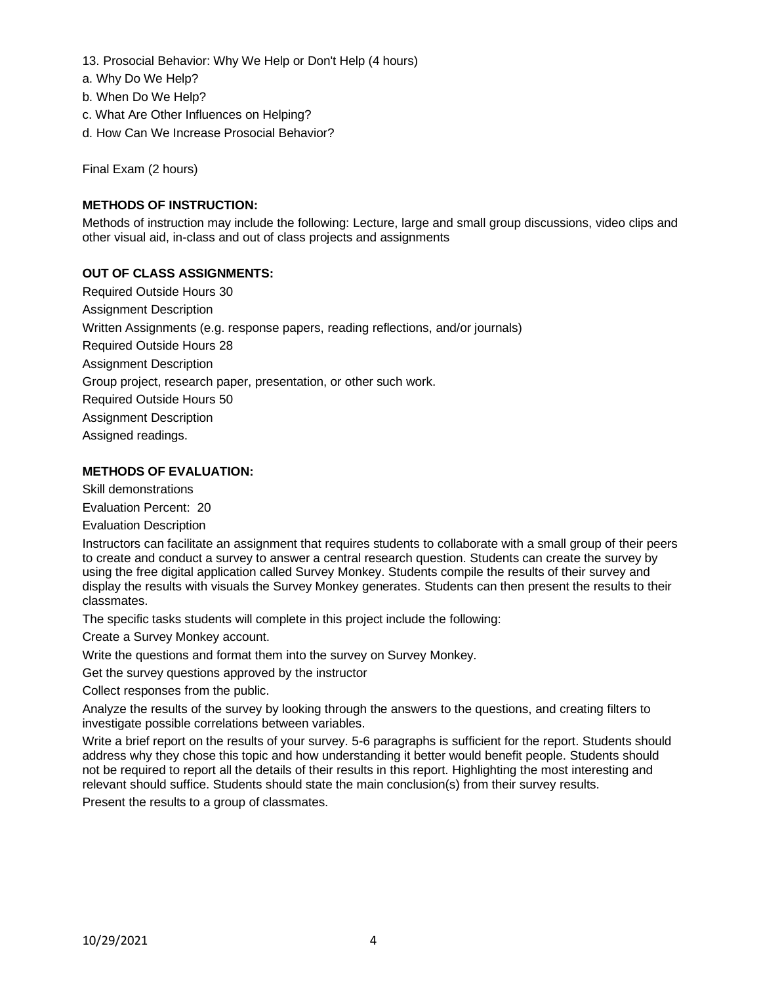- 13. Prosocial Behavior: Why We Help or Don't Help (4 hours)
- a. Why Do We Help?
- b. When Do We Help?
- c. What Are Other Influences on Helping?
- d. How Can We Increase Prosocial Behavior?

Final Exam (2 hours)

# **METHODS OF INSTRUCTION:**

Methods of instruction may include the following: Lecture, large and small group discussions, video clips and other visual aid, in-class and out of class projects and assignments

### **OUT OF CLASS ASSIGNMENTS:**

Required Outside Hours 30 Assignment Description Written Assignments (e.g. response papers, reading reflections, and/or journals) Required Outside Hours 28 Assignment Description Group project, research paper, presentation, or other such work. Required Outside Hours 50 Assignment Description Assigned readings.

## **METHODS OF EVALUATION:**

Skill demonstrations

Evaluation Percent: 20

Evaluation Description

Instructors can facilitate an assignment that requires students to collaborate with a small group of their peers to create and conduct a survey to answer a central research question. Students can create the survey by using the free digital application called Survey Monkey. Students compile the results of their survey and display the results with visuals the Survey Monkey generates. Students can then present the results to their classmates.

The specific tasks students will complete in this project include the following:

Create a Survey Monkey account.

Write the questions and format them into the survey on Survey Monkey.

Get the survey questions approved by the instructor

Collect responses from the public.

Analyze the results of the survey by looking through the answers to the questions, and creating filters to investigate possible correlations between variables.

Write a brief report on the results of your survey. 5-6 paragraphs is sufficient for the report. Students should address why they chose this topic and how understanding it better would benefit people. Students should not be required to report all the details of their results in this report. Highlighting the most interesting and relevant should suffice. Students should state the main conclusion(s) from their survey results.

Present the results to a group of classmates.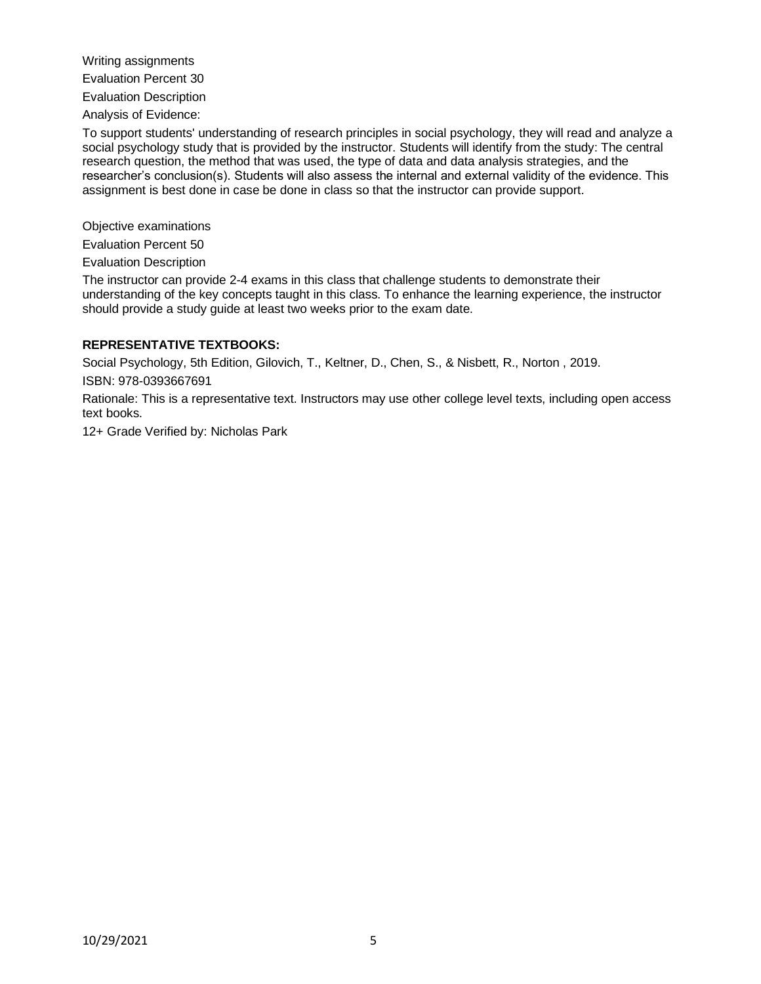Writing assignments

Evaluation Percent 30

Evaluation Description

Analysis of Evidence:

To support students' understanding of research principles in social psychology, they will read and analyze a social psychology study that is provided by the instructor. Students will identify from the study: The central research question, the method that was used, the type of data and data analysis strategies, and the researcher's conclusion(s). Students will also assess the internal and external validity of the evidence. This assignment is best done in case be done in class so that the instructor can provide support.

Objective examinations

Evaluation Percent 50

Evaluation Description

The instructor can provide 2-4 exams in this class that challenge students to demonstrate their understanding of the key concepts taught in this class. To enhance the learning experience, the instructor should provide a study guide at least two weeks prior to the exam date.

### **REPRESENTATIVE TEXTBOOKS:**

Social Psychology, 5th Edition, Gilovich, T., Keltner, D., Chen, S., & Nisbett, R., Norton , 2019.

ISBN: 978-0393667691

Rationale: This is a representative text. Instructors may use other college level texts, including open access text books.

12+ Grade Verified by: Nicholas Park